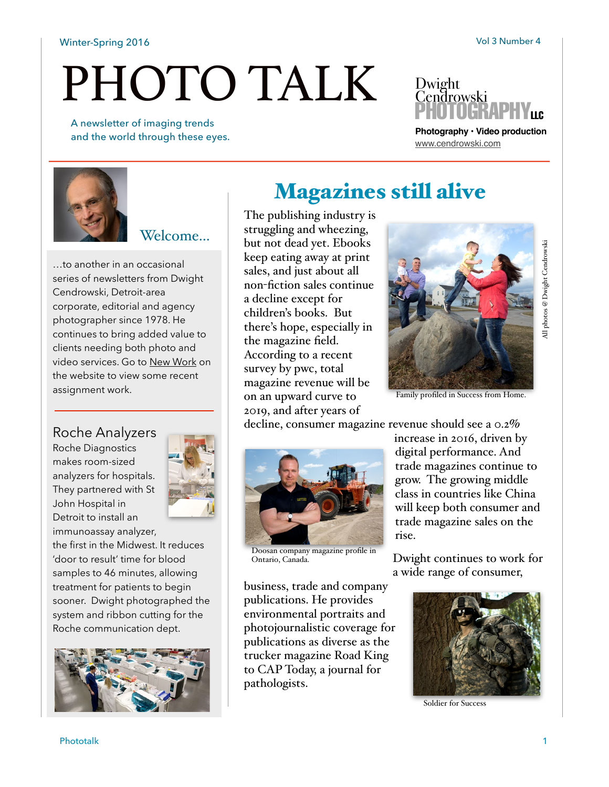#### Winter-Spring 2016 **Volume 2016** Vol 3 Number 4

# PHOTO TALK

 A newsletter of imaging trends and the world through these eyes.



**Photography • Video production** [www.cendrowski.com](http://www.cendrowski.com)



#### Welcome...

…to another in an occasional series of newsletters from Dwight Cendrowski, Detroit-area corporate, editorial and agency photographer since 1978. He continues to bring added value to clients needing both photo and video services. Go to [New Work](http://www.cendrowski.com/newwork.html) on the website to view some recent assignment work.

#### Roche Analyzers

Roche Diagnostics makes room-sized analyzers for hospitals. They partnered with St John Hospital in Detroit to install an immunoassay analyzer,



the first in the Midwest. It reduces 'door to result' time for blood samples to 46 minutes, allowing treatment for patients to begin sooner. Dwight photographed the system and ribbon cutting for the Roche communication dept.



## Magazines still alive

The publishing industry is struggling and wheezing, but not dead yet. Ebooks keep eating away at print sales, and just about all non-fiction sales continue a decline except for children's books. But there's hope, especially in the magazine field. According to a recent survey by pwc, total magazine revenue will be on an upward curve to 2019, and after years of



Family profiled in Success from Home.

decline, consumer magazine revenue should see a 0.2%



Doosan company magazine profile in Ontario, Canada.

business, trade and company publications. He provides environmental portraits and photojournalistic coverage for publications as diverse as the trucker magazine Road King to CAP Today, a journal for pathologists.

increase in 2016, driven by digital performance. And trade magazines continue to grow. The growing middle class in countries like China will keep both consumer and trade magazine sales on the rise.

Dwight continues to work for a wide range of consumer,



Soldier for Success

photos @ Dwight Cendrowski All photos @ Dwight Cendrowski

ਤੋ